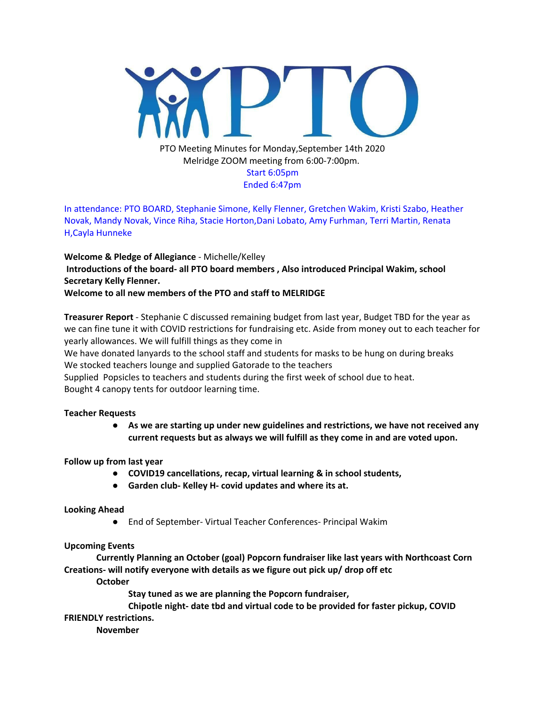

In attendance: PTO BOARD, Stephanie Simone, Kelly Flenner, Gretchen Wakim, Kristi Szabo, Heather Novak, Mandy Novak, Vince Riha, Stacie Horton,Dani Lobato, Amy Furhman, Terri Martin, Renata H,Cayla Hunneke

**Welcome & Pledge of Allegiance** - Michelle/Kelley **Introductions of the board- all PTO board members , Also introduced Principal Wakim, school Secretary Kelly Flenner.**

**Welcome to all new members of the PTO and staff to MELRIDGE**

**Treasurer Report** - Stephanie C discussed remaining budget from last year, Budget TBD for the year as we can fine tune it with COVID restrictions for fundraising etc. Aside from money out to each teacher for yearly allowances. We will fulfill things as they come in

We have donated lanyards to the school staff and students for masks to be hung on during breaks We stocked teachers lounge and supplied Gatorade to the teachers

Supplied Popsicles to teachers and students during the first week of school due to heat. Bought 4 canopy tents for outdoor learning time.

### **Teacher Requests**

**● As we are starting up under new guidelines and restrictions, we have not received any current requests but as always we will fulfill as they come in and are voted upon.**

## **Follow up from last year**

- **● COVID19 cancellations, recap, virtual learning & in school students,**
- **● Garden club- Kelley H- covid updates and where its at.**

### **Looking Ahead**

● End of September- Virtual Teacher Conferences- Principal Wakim

## **Upcoming Events**

**Currently Planning an October (goal) Popcorn fundraiser like last years with Northcoast Corn Creations- will notify everyone with details as we figure out pick up/ drop off etc**

**October**

**Stay tuned as we are planning the Popcorn fundraiser,**

**Chipotle night- date tbd and virtual code to be provided for faster pickup, COVID FRIENDLY restrictions.**

**November**